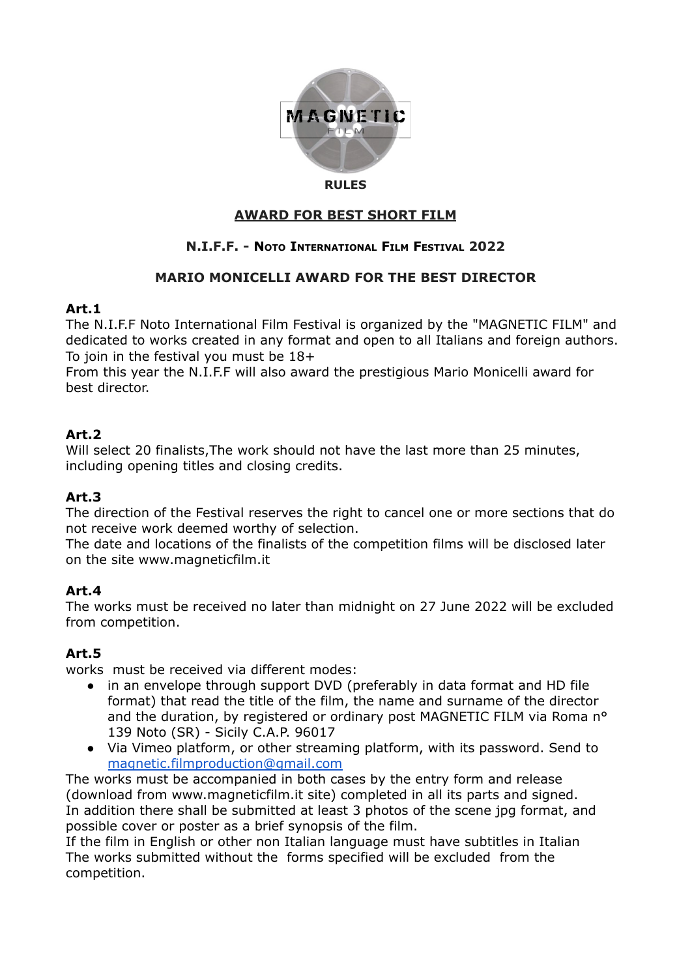

#### **RULES**

#### **AWARD FOR BEST SHORT FILM**

## **N.I.F.F. - NOTO INTERNATIONAL FILM FESTIVAL 2022**

#### **MARIO MONICELLI AWARD FOR THE BEST DIRECTOR**

#### **Art.1**

The N.I.F.F Noto International Film Festival is organized by the "MAGNETIC FILM" and dedicated to works created in any format and open to all Italians and foreign authors. To join in the festival you must be 18+

From this year the N.I.F.F will also award the prestigious Mario Monicelli award for best director.

## **Art.2**

Will select 20 finalists, The work should not have the last more than 25 minutes, including opening titles and closing credits.

## **Art.3**

The direction of the Festival reserves the right to cancel one or more sections that do not receive work deemed worthy of selection.

The date and locations of the finalists of the competition films will be disclosed later on the site www.magneticfilm.it

## **Art.4**

The works must be received no later than midnight on 27 June 2022 will be excluded from competition.

## **Art.5**

works must be received via different modes:

- in an envelope through support DVD (preferably in data format and HD file format) that read the title of the film, the name and surname of the director and the duration, by registered or ordinary post MAGNETIC FILM via Roma n° 139 Noto (SR) - Sicily C.A.P. 96017
- Via Vimeo platform, or other streaming platform, with its password. Send to [magnetic.filmproduction@gmail.com](mailto:magnetic.filmproduction@gmail.com)

The works must be accompanied in both cases by the entry form and release (download from www.magneticfilm.it site) completed in all its parts and signed. In addition there shall be submitted at least 3 photos of the scene jpg format, and possible cover or poster as a brief synopsis of the film.

If the film in English or other non Italian language must have subtitles in Italian The works submitted without the forms specified will be excluded from the competition.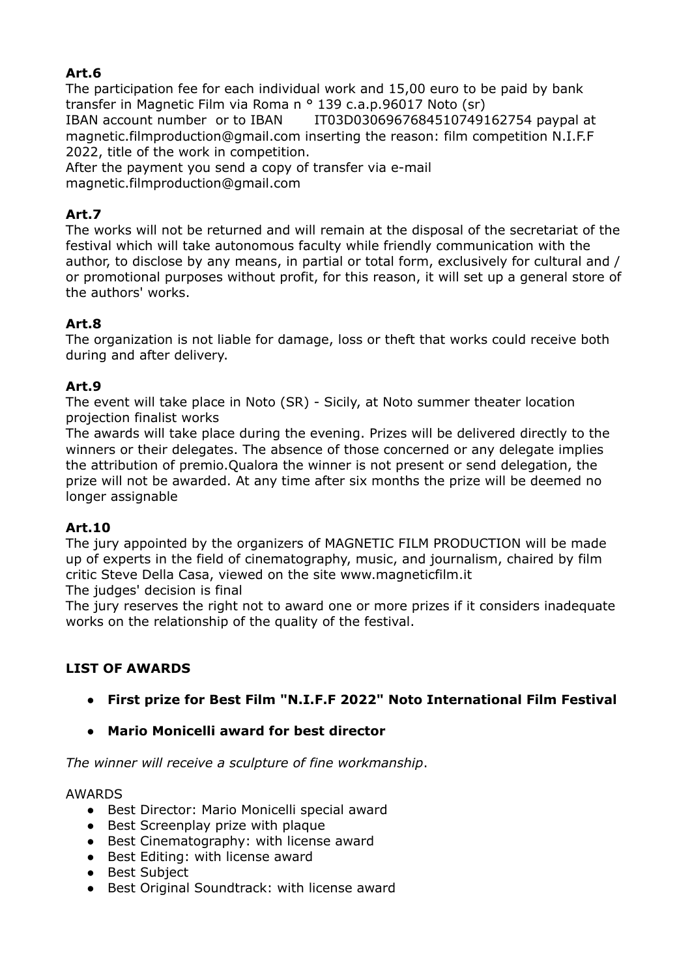## **Art.6**

The participation fee for each individual work and 15,00 euro to be paid by bank transfer in Magnetic Film via Roma n ° 139 c.a.p.96017 Noto (sr) IBAN account number or to IBAN IT03D0306967684510749162754 paypal at magnetic.filmproduction@gmail.com inserting the reason: film competition N.I.F.F 2022, title of the work in competition.

After the payment you send a copy of transfer via e-mail magnetic.filmproduction@gmail.com

## **Art.7**

The works will not be returned and will remain at the disposal of the secretariat of the festival which will take autonomous faculty while friendly communication with the author, to disclose by any means, in partial or total form, exclusively for cultural and / or promotional purposes without profit, for this reason, it will set up a general store of the authors' works.

## **Art.8**

The organization is not liable for damage, loss or theft that works could receive both during and after delivery.

## **Art.9**

The event will take place in Noto (SR) - Sicily, at Noto summer theater location projection finalist works

The awards will take place during the evening. Prizes will be delivered directly to the winners or their delegates. The absence of those concerned or any delegate implies the attribution of premio.Qualora the winner is not present or send delegation, the prize will not be awarded. At any time after six months the prize will be deemed no longer assignable

## **Art.10**

The jury appointed by the organizers of MAGNETIC FILM PRODUCTION will be made up of experts in the field of cinematography, music, and journalism, chaired by film critic Steve Della Casa, viewed on the site www.magneticfilm.it

The judges' decision is final

The jury reserves the right not to award one or more prizes if it considers inadequate works on the relationship of the quality of the festival.

## **LIST OF AWARDS**

- **● First prize for Best Film "N.I.F.F 2022" Noto International Film Festival**
- **● Mario Monicelli award for best director**

*The winner will receive a sculpture of fine workmanship*.

#### AWARDS

- Best Director: Mario Monicelli special award
- Best Screenplay prize with plaque
- Best Cinematography: with license award
- Best Editing: with license award
- Best Subject
- Best Original Soundtrack: with license award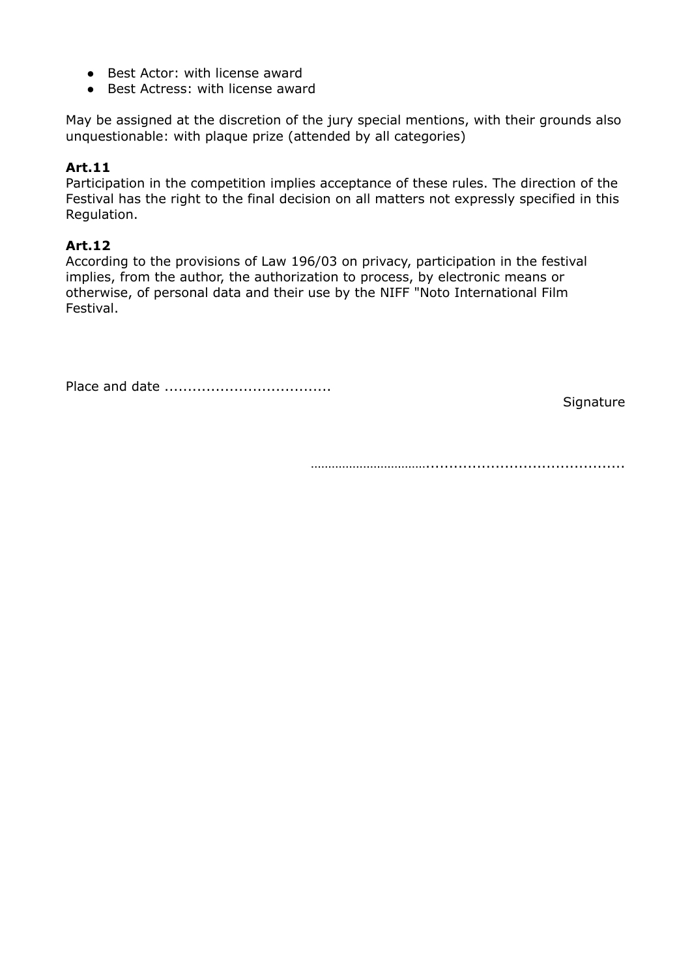- Best Actor: with license award
- Best Actress: with license award

May be assigned at the discretion of the jury special mentions, with their grounds also unquestionable: with plaque prize (attended by all categories)

#### **Art.11**

Participation in the competition implies acceptance of these rules. The direction of the Festival has the right to the final decision on all matters not expressly specified in this Regulation.

#### **Art.12**

According to the provisions of Law 196/03 on privacy, participation in the festival implies, from the author, the authorization to process, by electronic means or otherwise, of personal data and their use by the NIFF "Noto International Film Festival.

Place and date ....................................

**Signature** 

……………………………...........................................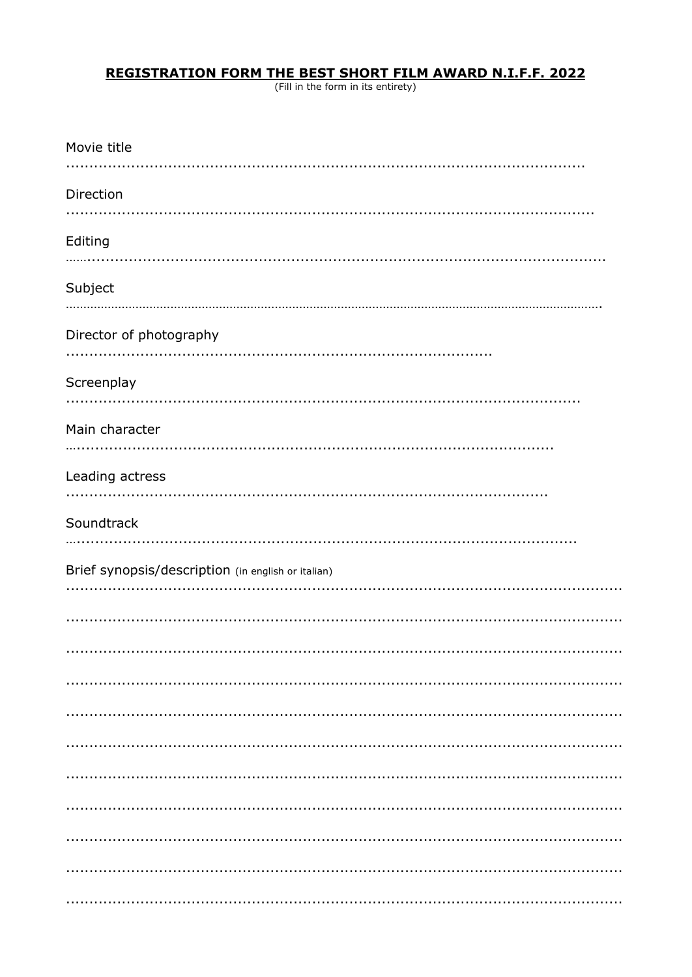# **REGISTRATION FORM THE BEST SHORT FILM AWARD N.I.F.F. 2022**<br>(Fill in the form in its entirety)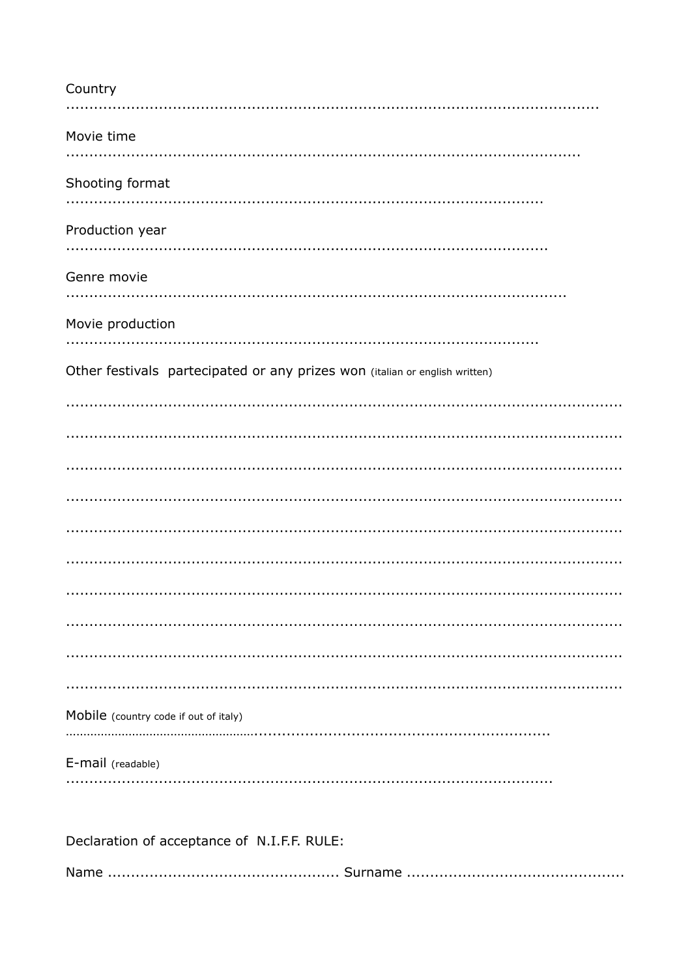| Country                                                                     |
|-----------------------------------------------------------------------------|
| Movie time                                                                  |
| Shooting format                                                             |
| Production year                                                             |
| Genre movie                                                                 |
| Movie production                                                            |
| Other festivals partecipated or any prizes won (italian or english written) |
|                                                                             |
|                                                                             |
|                                                                             |
|                                                                             |
|                                                                             |
|                                                                             |
|                                                                             |
| Mobile (country code if out of italy)                                       |
| E-mail (readable)                                                           |
| Declaration of acceptance of N.I.F.F. RULE:                                 |
|                                                                             |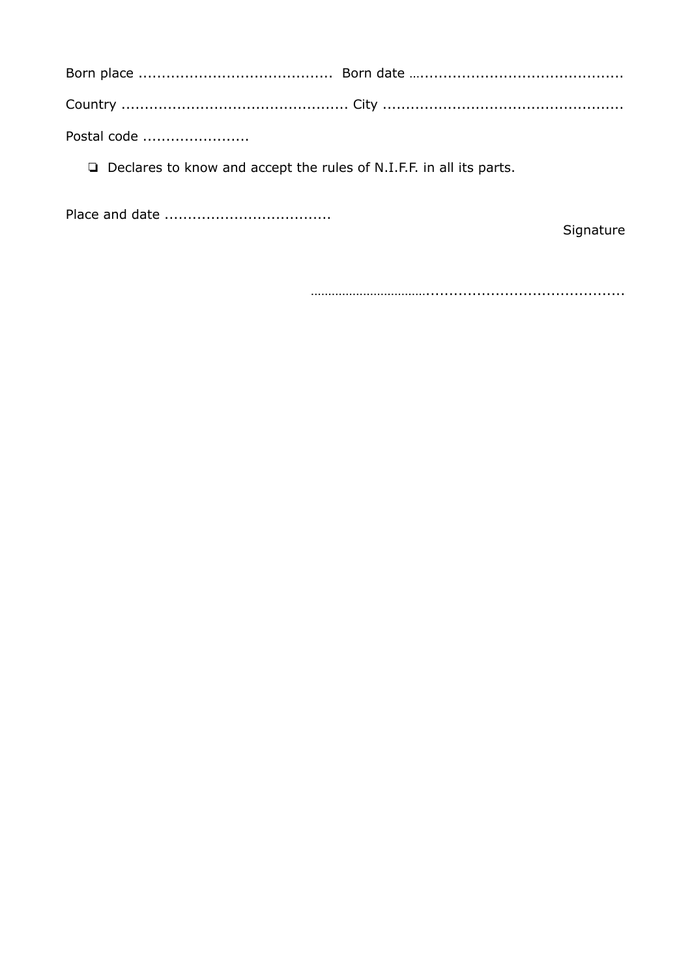Postal code .......................

Declares to know and accept the rules of N.I.F.F. in all its parts.

Signature